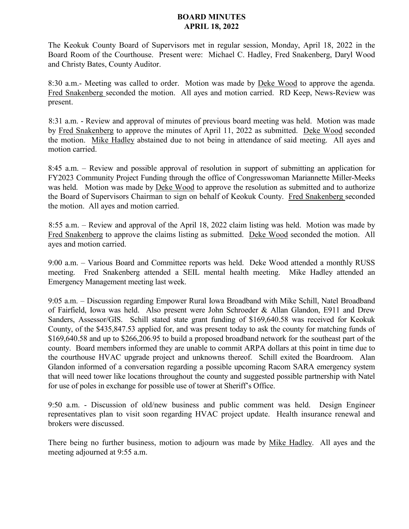## **BOARD MINUTES APRIL 18, 2022**

The Keokuk County Board of Supervisors met in regular session, Monday, April 18, 2022 in the Board Room of the Courthouse. Present were: Michael C. Hadley, Fred Snakenberg, Daryl Wood and Christy Bates, County Auditor.

8:30 a.m.- Meeting was called to order. Motion was made by Deke Wood to approve the agenda. Fred Snakenberg seconded the motion. All ayes and motion carried. RD Keep, News-Review was present.

8:31 a.m. - Review and approval of minutes of previous board meeting was held. Motion was made by Fred Snakenberg to approve the minutes of April 11, 2022 as submitted. Deke Wood seconded the motion. Mike Hadley abstained due to not being in attendance of said meeting. All ayes and motion carried.

8:45 a.m. – Review and possible approval of resolution in support of submitting an application for FY2023 Community Project Funding through the office of Congresswoman Mariannette Miller-Meeks was held. Motion was made by Deke Wood to approve the resolution as submitted and to authorize the Board of Supervisors Chairman to sign on behalf of Keokuk County. Fred Snakenberg seconded the motion. All ayes and motion carried.

8:55 a.m. – Review and approval of the April 18, 2022 claim listing was held. Motion was made by Fred Snakenberg to approve the claims listing as submitted. Deke Wood seconded the motion. All ayes and motion carried.

9:00 a.m. – Various Board and Committee reports was held. Deke Wood attended a monthly RUSS meeting. Fred Snakenberg attended a SEIL mental health meeting. Mike Hadley attended an Emergency Management meeting last week.

9:05 a.m. – Discussion regarding Empower Rural Iowa Broadband with Mike Schill, Natel Broadband of Fairfield, Iowa was held. Also present were John Schroeder & Allan Glandon, E911 and Drew Sanders, Assessor/GIS. Schill stated state grant funding of \$169,640.58 was received for Keokuk County, of the \$435,847.53 applied for, and was present today to ask the county for matching funds of \$169,640.58 and up to \$266,206.95 to build a proposed broadband network for the southeast part of the county. Board members informed they are unable to commit ARPA dollars at this point in time due to the courthouse HVAC upgrade project and unknowns thereof. Schill exited the Boardroom. Alan Glandon informed of a conversation regarding a possible upcoming Racom SARA emergency system that will need tower like locations throughout the county and suggested possible partnership with Natel for use of poles in exchange for possible use of tower at Sheriff's Office.

9:50 a.m. - Discussion of old/new business and public comment was held. Design Engineer representatives plan to visit soon regarding HVAC project update. Health insurance renewal and brokers were discussed.

There being no further business, motion to adjourn was made by Mike Hadley. All ayes and the meeting adjourned at 9:55 a.m.